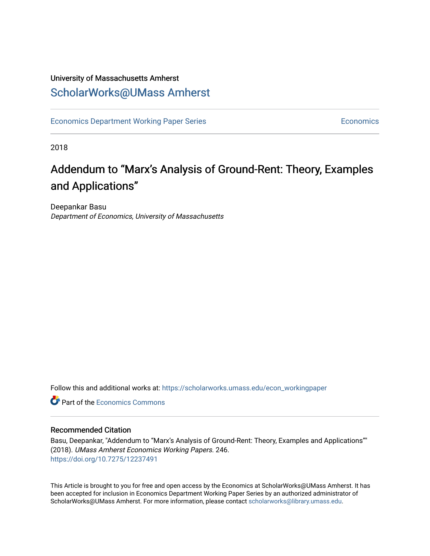## University of Massachusetts Amherst [ScholarWorks@UMass Amherst](https://scholarworks.umass.edu/)

[Economics Department Working Paper Series](https://scholarworks.umass.edu/econ_workingpaper) **Economics** Economics

2018

## Addendum to "Marx's Analysis of Ground-Rent: Theory, Examples and Applications"

Deepankar Basu Department of Economics, University of Massachusetts

Follow this and additional works at: [https://scholarworks.umass.edu/econ\\_workingpaper](https://scholarworks.umass.edu/econ_workingpaper?utm_source=scholarworks.umass.edu%2Fecon_workingpaper%2F246&utm_medium=PDF&utm_campaign=PDFCoverPages) 

**C** Part of the [Economics Commons](http://network.bepress.com/hgg/discipline/340?utm_source=scholarworks.umass.edu%2Fecon_workingpaper%2F246&utm_medium=PDF&utm_campaign=PDFCoverPages)

#### Recommended Citation

Basu, Deepankar, "Addendum to "Marx's Analysis of Ground-Rent: Theory, Examples and Applications"" (2018). UMass Amherst Economics Working Papers. 246. <https://doi.org/10.7275/12237491>

This Article is brought to you for free and open access by the Economics at ScholarWorks@UMass Amherst. It has been accepted for inclusion in Economics Department Working Paper Series by an authorized administrator of ScholarWorks@UMass Amherst. For more information, please contact [scholarworks@library.umass.edu.](mailto:scholarworks@library.umass.edu)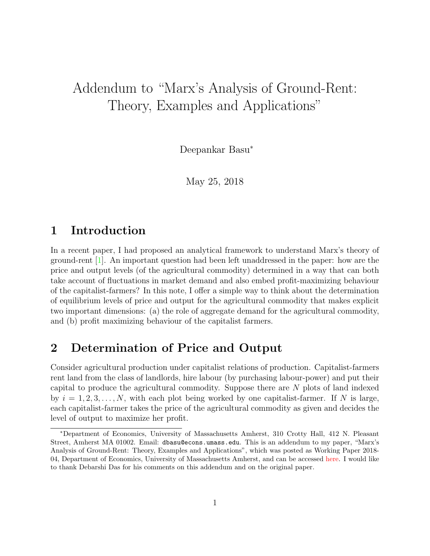# Addendum to "Marx's Analysis of Ground-Rent: Theory, Examples and Applications"

Deepankar Basu<sup>∗</sup>

May 25, 2018

## 1 Introduction

In a recent paper, I had proposed an analytical framework to understand Marx's theory of ground-rent [\[1\]](#page-7-0). An important question had been left unaddressed in the paper: how are the price and output levels (of the agricultural commodity) determined in a way that can both take account of fluctuations in market demand and also embed profit-maximizing behaviour of the capitalist-farmers? In this note, I offer a simple way to think about the determination of equilibrium levels of price and output for the agricultural commodity that makes explicit two important dimensions: (a) the role of aggregate demand for the agricultural commodity, and (b) profit maximizing behaviour of the capitalist farmers.

## 2 Determination of Price and Output

Consider agricultural production under capitalist relations of production. Capitalist-farmers rent land from the class of landlords, hire labour (by purchasing labour-power) and put their capital to produce the agricultural commodity. Suppose there are N plots of land indexed by  $i = 1, 2, 3, \ldots, N$ , with each plot being worked by one capitalist-farmer. If N is large, each capitalist-farmer takes the price of the agricultural commodity as given and decides the level of output to maximize her profit.

<sup>∗</sup>Department of Economics, University of Massachusetts Amherst, 310 Crotty Hall, 412 N. Pleasant Street, Amherst MA 01002. Email: dbasu@econs.umass.edu. This is an addendum to my paper, "Marx's Analysis of Ground-Rent: Theory, Examples and Applications", which was posted as Working Paper 2018- 04, Department of Economics, University of Massachusetts Amherst, and can be accessed [here.](http://www.umass.edu/economics/publications/2018-04.pdf) I would like to thank Debarshi Das for his comments on this addendum and on the original paper.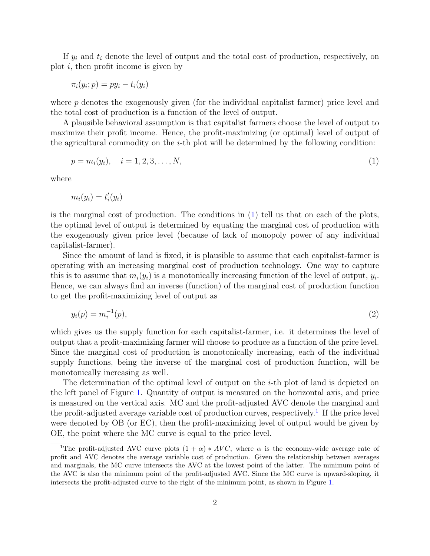If  $y_i$  and  $t_i$  denote the level of output and the total cost of production, respectively, on plot  $i$ , then profit income is given by

$$
\pi_i(y_i; p) = py_i - t_i(y_i)
$$

where p denotes the exogenously given (for the individual capitalist farmer) price level and the total cost of production is a function of the level of output.

A plausible behavioral assumption is that capitalist farmers choose the level of output to maximize their profit income. Hence, the profit-maximizing (or optimal) level of output of the agricultural commodity on the  $i$ -th plot will be determined by the following condition:

<span id="page-2-0"></span>
$$
p = m_i(y_i), \quad i = 1, 2, 3, \dots, N,
$$
\n<sup>(1)</sup>

where

$$
m_i(y_i) = t'_i(y_i)
$$

is the marginal cost of production. The conditions in [\(1\)](#page-2-0) tell us that on each of the plots, the optimal level of output is determined by equating the marginal cost of production with the exogenously given price level (because of lack of monopoly power of any individual capitalist-farmer).

Since the amount of land is fixed, it is plausible to assume that each capitalist-farmer is operating with an increasing marginal cost of production technology. One way to capture this is to assume that  $m_i(y_i)$  is a monotonically increasing function of the level of output,  $y_i$ . Hence, we can always find an inverse (function) of the marginal cost of production function to get the profit-maximizing level of output as

<span id="page-2-2"></span>
$$
y_i(p) = m_i^{-1}(p),
$$
\n(2)

which gives us the supply function for each capitalist-farmer, i.e. it determines the level of output that a profit-maximizing farmer will choose to produce as a function of the price level. Since the marginal cost of production is monotonically increasing, each of the individual supply functions, being the inverse of the marginal cost of production function, will be monotonically increasing as well.

The determination of the optimal level of output on the i-th plot of land is depicted on the left panel of Figure [1.](#page-3-0) Quantity of output is measured on the horizontal axis, and price is measured on the vertical axis. MC and the profit-adjusted AVC denote the marginal and the profit-adjusted average variable cost of production curves, respectively.<sup>[1](#page-2-1)</sup> If the price level were denoted by OB (or EC), then the profit-maximizing level of output would be given by OE, the point where the MC curve is equal to the price level.

<span id="page-2-1"></span><sup>&</sup>lt;sup>1</sup>The profit-adjusted AVC curve plots  $(1 + \alpha) * AVC$ , where  $\alpha$  is the economy-wide average rate of profit and AVC denotes the average variable cost of production. Given the relationship between averages and marginals, the MC curve intersects the AVC at the lowest point of the latter. The minimum point of the AVC is also the minimum point of the profit-adjusted AVC. Since the MC curve is upward-sloping, it intersects the profit-adjusted curve to the right of the minimum point, as shown in Figure [1.](#page-3-0)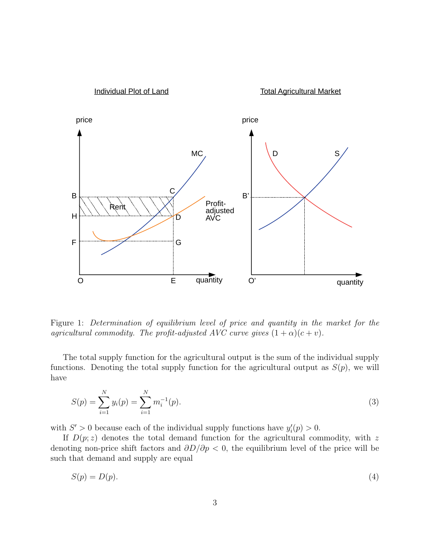

<span id="page-3-0"></span>Figure 1: Determination of equilibrium level of price and quantity in the market for the agricultural commodity. The profit-adjusted AVC curve gives  $(1 + \alpha)(c + v)$ .

The total supply function for the agricultural output is the sum of the individual supply functions. Denoting the total supply function for the agricultural output as  $S(p)$ , we will have

<span id="page-3-1"></span>
$$
S(p) = \sum_{i=1}^{N} y_i(p) = \sum_{i=1}^{N} m_i^{-1}(p).
$$
\n(3)

with  $S' > 0$  because each of the individual supply functions have  $y_i'(p) > 0$ .

If  $D(p; z)$  denotes the total demand function for the agricultural commodity, with z denoting non-price shift factors and  $\partial D/\partial p < 0$ , the equilibrium level of the price will be such that demand and supply are equal

<span id="page-3-2"></span>
$$
S(p) = D(p). \tag{4}
$$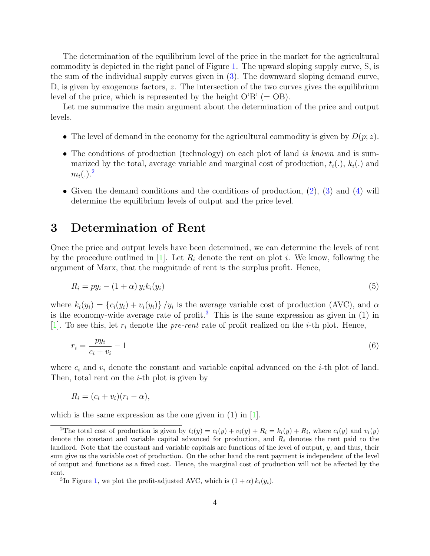The determination of the equilibrium level of the price in the market for the agricultural commodity is depicted in the right panel of Figure [1.](#page-3-0) The upward sloping supply curve, S, is the sum of the individual supply curves given in [\(3\)](#page-3-1). The downward sloping demand curve, D, is given by exogenous factors, z. The intersection of the two curves gives the equilibrium level of the price, which is represented by the height  $O'B' (= OB)$ .

Let me summarize the main argument about the determination of the price and output levels.

- The level of demand in the economy for the agricultural commodity is given by  $D(p; z)$ .
- The conditions of production (technology) on each plot of land is known and is summarized by the total, average variable and marginal cost of production,  $t_i(.)$ ,  $k_i(.)$  and  $m_i(.)$ .<sup>[2](#page-4-0)</sup>
- Given the demand conditions and the conditions of production, [\(2\)](#page-2-2), [\(3\)](#page-3-1) and [\(4\)](#page-3-2) will determine the equilibrium levels of output and the price level.

#### 3 Determination of Rent

Once the price and output levels have been determined, we can determine the levels of rent by the procedure outlined in [\[1\]](#page-7-0). Let  $R_i$  denote the rent on plot i. We know, following the argument of Marx, that the magnitude of rent is the surplus profit. Hence,

$$
R_i = py_i - (1 + \alpha) y_i k_i(y_i)
$$
\n<sup>(5)</sup>

where  $k_i(y_i) = \{c_i(y_i) + v_i(y_i)\}/y_i$  is the average variable cost of production (AVC), and  $\alpha$ is the economy-wide average rate of profit.<sup>[3](#page-4-1)</sup> This is the same expression as given in  $(1)$  in [\[1\]](#page-7-0). To see this, let  $r_i$  denote the *pre-rent* rate of profit realized on the *i*-th plot. Hence,

$$
r_i = \frac{py_i}{c_i + v_i} - 1\tag{6}
$$

where  $c_i$  and  $v_i$  denote the constant and variable capital advanced on the *i*-th plot of land. Then, total rent on the  $i$ -th plot is given by

$$
R_i = (c_i + v_i)(r_i - \alpha),
$$

which is the same expression as the one given in  $(1)$  in  $|1|$ .

<span id="page-4-0"></span><sup>&</sup>lt;sup>2</sup>The total cost of production is given by  $t_i(y) = c_i(y) + v_i(y) + R_i = k_i(y) + R_i$ , where  $c_i(y)$  and  $v_i(y)$ denote the constant and variable capital advanced for production, and  $R_i$  denotes the rent paid to the landlord. Note that the constant and variable capitals are functions of the level of output, y, and thus, their sum give us the variable cost of production. On the other hand the rent payment is independent of the level of output and functions as a fixed cost. Hence, the marginal cost of production will not be affected by the rent.

<span id="page-4-1"></span><sup>&</sup>lt;sup>3</sup>In Figure [1,](#page-3-0) we plot the profit-adjusted AVC, which is  $(1 + \alpha) k_i(y_i)$ .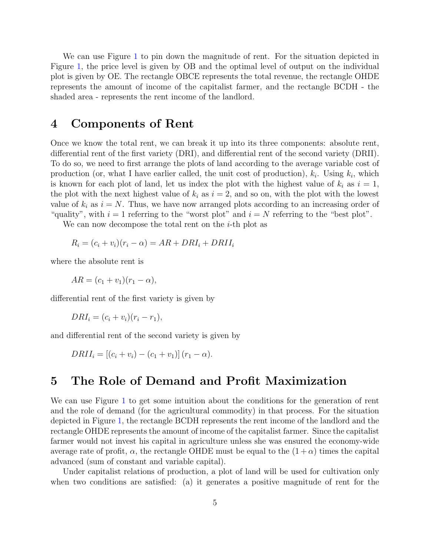We can use Figure [1](#page-3-0) to pin down the magnitude of rent. For the situation depicted in Figure [1,](#page-3-0) the price level is given by OB and the optimal level of output on the individual plot is given by OE. The rectangle OBCE represents the total revenue, the rectangle OHDE represents the amount of income of the capitalist farmer, and the rectangle BCDH - the shaded area - represents the rent income of the landlord.

#### 4 Components of Rent

Once we know the total rent, we can break it up into its three components: absolute rent, differential rent of the first variety (DRI), and differential rent of the second variety (DRII). To do so, we need to first arrange the plots of land according to the average variable cost of production (or, what I have earlier called, the unit cost of production),  $k_i$ . Using  $k_i$ , which is known for each plot of land, let us index the plot with the highest value of  $k_i$  as  $i = 1$ , the plot with the next highest value of  $k_i$  as  $i = 2$ , and so on, with the plot with the lowest value of  $k_i$  as  $i = N$ . Thus, we have now arranged plots according to an increasing order of "quality", with  $i = 1$  referring to the "worst plot" and  $i = N$  referring to the "best plot".

We can now decompose the total rent on the  $i$ -th plot as

$$
R_i = (c_i + v_i)(r_i - \alpha) = AR + DRI_i + DRII_i
$$

where the absolute rent is

 $AR = (c_1 + v_1)(r_1 - \alpha),$ 

differential rent of the first variety is given by

$$
DRI_i = (c_i + v_i)(r_i - r_1),
$$

and differential rent of the second variety is given by

 $DRII_i = [(c_i + v_i) - (c_1 + v_1)] (r_1 - \alpha).$ 

### 5 The Role of Demand and Profit Maximization

We can use Figure [1](#page-3-0) to get some intuition about the conditions for the generation of rent and the role of demand (for the agricultural commodity) in that process. For the situation depicted in Figure [1,](#page-3-0) the rectangle BCDH represents the rent income of the landlord and the rectangle OHDE represents the amount of income of the capitalist farmer. Since the capitalist farmer would not invest his capital in agriculture unless she was ensured the economy-wide average rate of profit,  $\alpha$ , the rectangle OHDE must be equal to the  $(1 + \alpha)$  times the capital advanced (sum of constant and variable capital).

Under capitalist relations of production, a plot of land will be used for cultivation only when two conditions are satisfied: (a) it generates a positive magnitude of rent for the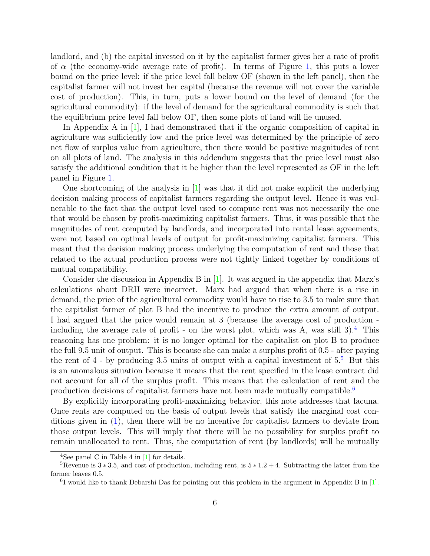landlord, and (b) the capital invested on it by the capitalist farmer gives her a rate of profit of  $\alpha$  (the economy-wide average rate of profit). In terms of Figure [1,](#page-3-0) this puts a lower bound on the price level: if the price level fall below OF (shown in the left panel), then the capitalist farmer will not invest her capital (because the revenue will not cover the variable cost of production). This, in turn, puts a lower bound on the level of demand (for the agricultural commodity): if the level of demand for the agricultural commodity is such that the equilibrium price level fall below OF, then some plots of land will lie unused.

In Appendix A in [\[1\]](#page-7-0), I had demonstrated that if the organic composition of capital in agriculture was sufficiently low and the price level was determined by the principle of zero net flow of surplus value from agriculture, then there would be positive magnitudes of rent on all plots of land. The analysis in this addendum suggests that the price level must also satisfy the additional condition that it be higher than the level represented as OF in the left panel in Figure [1.](#page-3-0)

One shortcoming of the analysis in  $[1]$  was that it did not make explicit the underlying decision making process of capitalist farmers regarding the output level. Hence it was vulnerable to the fact that the output level used to compute rent was not necessarily the one that would be chosen by profit-maximizing capitalist farmers. Thus, it was possible that the magnitudes of rent computed by landlords, and incorporated into rental lease agreements, were not based on optimal levels of output for profit-maximizing capitalist farmers. This meant that the decision making process underlying the computation of rent and those that related to the actual production process were not tightly linked together by conditions of mutual compatibility.

Consider the discussion in Appendix B in  $[1]$ . It was argued in the appendix that Marx's calculations about DRII were incorrect. Marx had argued that when there is a rise in demand, the price of the agricultural commodity would have to rise to 3.5 to make sure that the capitalist farmer of plot B had the incentive to produce the extra amount of output. I had argued that the price would remain at 3 (because the average cost of production including the average rate of profit - on the worst plot, which was A, was still  $3$ .<sup>[4](#page-6-0)</sup> This reasoning has one problem: it is no longer optimal for the capitalist on plot B to produce the full 9.5 unit of output. This is because she can make a surplus profit of 0.5 - after paying the rent of  $4$  - by producing 3.[5](#page-6-1) units of output with a capital investment of  $5<sup>5</sup>$  But this is an anomalous situation because it means that the rent specified in the lease contract did not account for all of the surplus profit. This means that the calculation of rent and the production decisions of capitalist farmers have not been made mutually compatible.<sup>[6](#page-6-2)</sup>

By explicitly incorporating profit-maximizing behavior, this note addresses that lacuna. Once rents are computed on the basis of output levels that satisfy the marginal cost conditions given in [\(1\)](#page-2-0), then there will be no incentive for capitalist farmers to deviate from those output levels. This will imply that there will be no possibility for surplus profit to remain unallocated to rent. Thus, the computation of rent (by landlords) will be mutually

<span id="page-6-1"></span><span id="page-6-0"></span><sup>&</sup>lt;sup>4</sup>See panel C in Table 4 in  $[1]$  for details.

<sup>&</sup>lt;sup>5</sup>Revenue is  $3 * 3.5$ , and cost of production, including rent, is  $5 * 1.2 + 4$ . Subtracting the latter from the former leaves 0.5.

<span id="page-6-2"></span><sup>&</sup>lt;sup>6</sup>I would like to thank Debarshi Das for pointing out this problem in the argument in Appendix B in [\[1\]](#page-7-0).